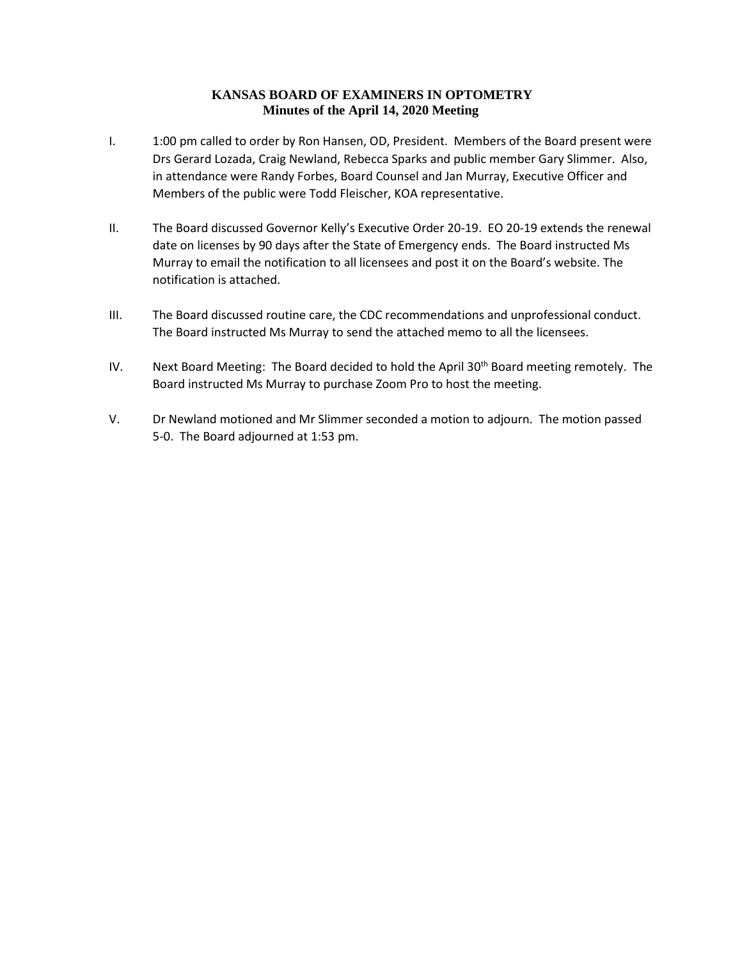## **KANSAS BOARD OF EXAMINERS IN OPTOMETRY Minutes of the April 14, 2020 Meeting**

- I. 1:00 pm called to order by Ron Hansen, OD, President. Members of the Board present were Drs Gerard Lozada, Craig Newland, Rebecca Sparks and public member Gary Slimmer. Also, in attendance were Randy Forbes, Board Counsel and Jan Murray, Executive Officer and Members of the public were Todd Fleischer, KOA representative.
- II. The Board discussed Governor Kelly's Executive Order 20-19. EO 20-19 extends the renewal date on licenses by 90 days after the State of Emergency ends. The Board instructed Ms Murray to email the notification to all licensees and post it on the Board's website. The notification is attached.
- III. The Board discussed routine care, the CDC recommendations and unprofessional conduct. The Board instructed Ms Murray to send the attached memo to all the licensees.
- IV. Next Board Meeting: The Board decided to hold the April 30<sup>th</sup> Board meeting remotely. The Board instructed Ms Murray to purchase Zoom Pro to host the meeting.
- V. Dr Newland motioned and Mr Slimmer seconded a motion to adjourn. The motion passed 5-0. The Board adjourned at 1:53 pm.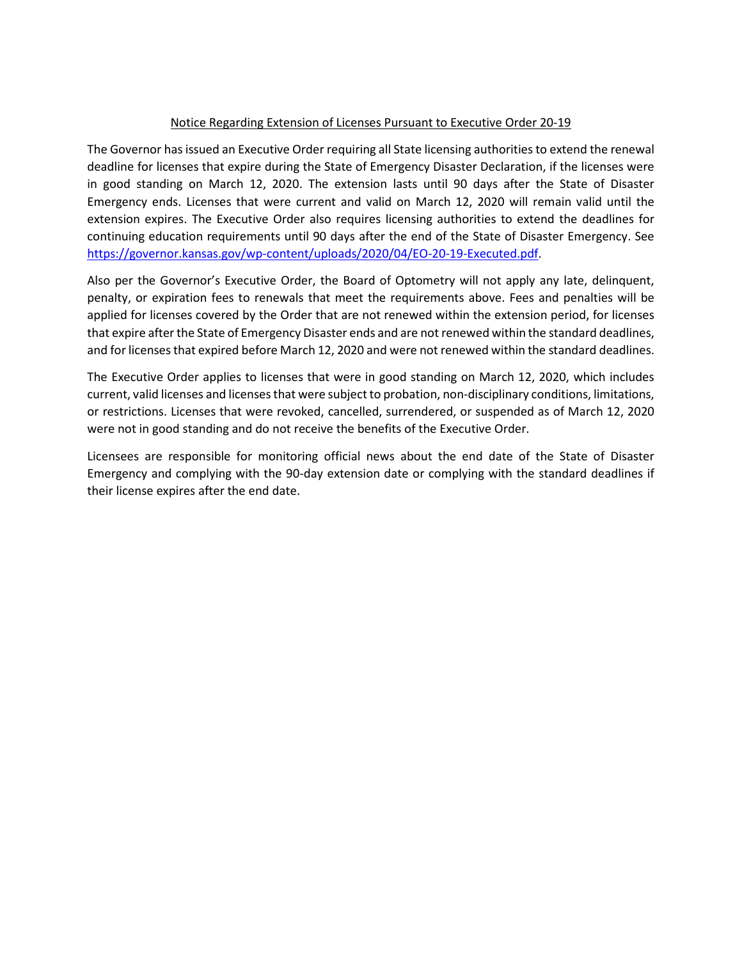## Notice Regarding Extension of Licenses Pursuant to Executive Order 20-19

The Governor has issued an Executive Order requiring all State licensing authorities to extend the renewal deadline for licenses that expire during the State of Emergency Disaster Declaration, if the licenses were in good standing on March 12, 2020. The extension lasts until 90 days after the State of Disaster Emergency ends. Licenses that were current and valid on March 12, 2020 will remain valid until the extension expires. The Executive Order also requires licensing authorities to extend the deadlines for continuing education requirements until 90 days after the end of the State of Disaster Emergency. See [https://governor.kansas.gov/wp-content/uploads/2020/04/EO-20-19-Executed.pdf.](https://governor.kansas.gov/wp-content/uploads/2020/04/EO-20-19-Executed.pdf)

Also per the Governor's Executive Order, the Board of Optometry will not apply any late, delinquent, penalty, or expiration fees to renewals that meet the requirements above. Fees and penalties will be applied for licenses covered by the Order that are not renewed within the extension period, for licenses that expire after the State of Emergency Disaster ends and are not renewed within the standard deadlines, and for licenses that expired before March 12, 2020 and were not renewed within the standard deadlines.

The Executive Order applies to licenses that were in good standing on March 12, 2020, which includes current, valid licenses and licenses that were subject to probation, non-disciplinary conditions, limitations, or restrictions. Licenses that were revoked, cancelled, surrendered, or suspended as of March 12, 2020 were not in good standing and do not receive the benefits of the Executive Order.

Licensees are responsible for monitoring official news about the end date of the State of Disaster Emergency and complying with the 90-day extension date or complying with the standard deadlines if their license expires after the end date.